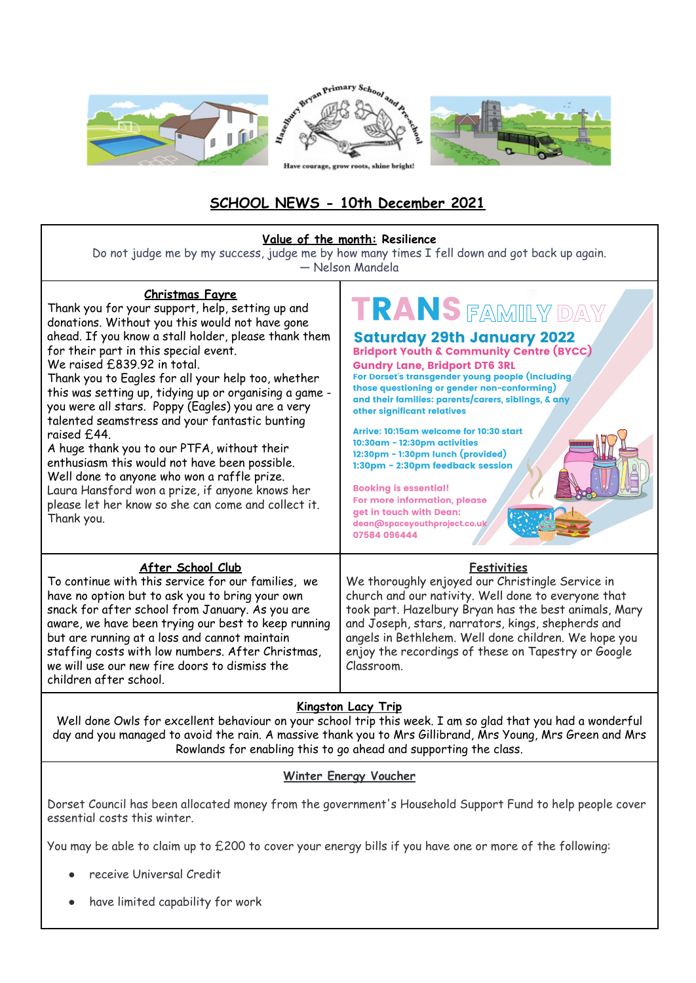

# **SCHOOL NEWS - 10th December 2021**

| Value of the month: Resilience<br>Do not judge me by my success, judge me by how many times I fell down and got back up again.<br>- Nelson Mandela                                                                                                                                                                                                                                                                                                                                                                                                                                                                                                                                                                                                                         |                                                                                                                                                                                                                                                                                                                                                                                                                                                                                                                                                                                                                                              |  |
|----------------------------------------------------------------------------------------------------------------------------------------------------------------------------------------------------------------------------------------------------------------------------------------------------------------------------------------------------------------------------------------------------------------------------------------------------------------------------------------------------------------------------------------------------------------------------------------------------------------------------------------------------------------------------------------------------------------------------------------------------------------------------|----------------------------------------------------------------------------------------------------------------------------------------------------------------------------------------------------------------------------------------------------------------------------------------------------------------------------------------------------------------------------------------------------------------------------------------------------------------------------------------------------------------------------------------------------------------------------------------------------------------------------------------------|--|
| <b>Christmas Fayre</b><br>Thank you for your support, help, setting up and<br>donations. Without you this would not have gone<br>ahead. If you know a stall holder, please thank them<br>for their part in this special event.<br>We raised £839.92 in total.<br>Thank you to Eagles for all your help too, whether<br>this was setting up, tidying up or organising a game -<br>you were all stars. Poppy (Eagles) you are a very<br>talented seamstress and your fantastic bunting<br>raised £44.<br>A huge thank you to our PTFA, without their<br>enthusiasm this would not have been possible.<br>Well done to anyone who won a raffle prize.<br>Laura Hansford won a prize, if anyone knows her<br>please let her know so she can come and collect it.<br>Thank you. | TRANS FAMILY DAY<br><b>Saturday 29th January 2022</b><br><b>Bridport Youth &amp; Community Centre (BYCC)</b><br><b>Gundry Lane, Bridport DT6 3RL</b><br>For Dorset's transgender young people (including<br>those questioning or gender non-conforming)<br>and their families: parents/carers, siblings, & any<br>other significant relatives<br>Arrive: 10:15am welcome for 10:30 start<br>10:30am - 12:30pm activities<br>12:30pm - 1:30pm lunch (provided)<br>1:30pm - 2:30pm feedback session<br><b>Booking is essential!</b><br>For more information, please<br>get in touch with Dean:<br>dean@spaceyouthproject.co.uk<br>07584 096444 |  |
| After School Club<br>To continue with this service for our families, we<br>have no option but to ask you to bring your own<br>snack for after school from January. As you are<br>aware, we have been trying our best to keep running<br>but are running at a loss and cannot maintain<br>staffing costs with low numbers. After Christmas,<br>we will use our new fire doors to dismiss the<br>children after school.                                                                                                                                                                                                                                                                                                                                                      | <b>Festivities</b><br>We thoroughly enjoyed our Christingle Service in<br>church and our nativity. Well done to everyone that<br>took part. Hazelbury Bryan has the best animals, Mary<br>and Joseph, stars, narrators, kings, shepherds and<br>angels in Bethlehem. Well done children. We hope you<br>enjoy the recordings of these on Tapestry or Google<br>Classroom.                                                                                                                                                                                                                                                                    |  |
| <b>Kingston Lacy Trip</b><br>Well done Owls for excellent behaviour on your school trip this week. I am so glad that you had a wonderful                                                                                                                                                                                                                                                                                                                                                                                                                                                                                                                                                                                                                                   |                                                                                                                                                                                                                                                                                                                                                                                                                                                                                                                                                                                                                                              |  |

Well done Owls for excellent behaviour on your school trip this week. I am so glad that you had a wonderful day and you managed to avoid the rain. A massive thank you to Mrs Gillibrand, Mrs Young, Mrs Green and Mrs Rowlands for enabling this to go ahead and supporting the class.

### **Winter Energy Voucher**

Dorset Council has been allocated money from the government's Household Support Fund to help people cover essential costs this winter.

You may be able to claim up to £200 to cover your energy bills if you have one or more of the following:

- receive Universal Credit
- have limited capability for work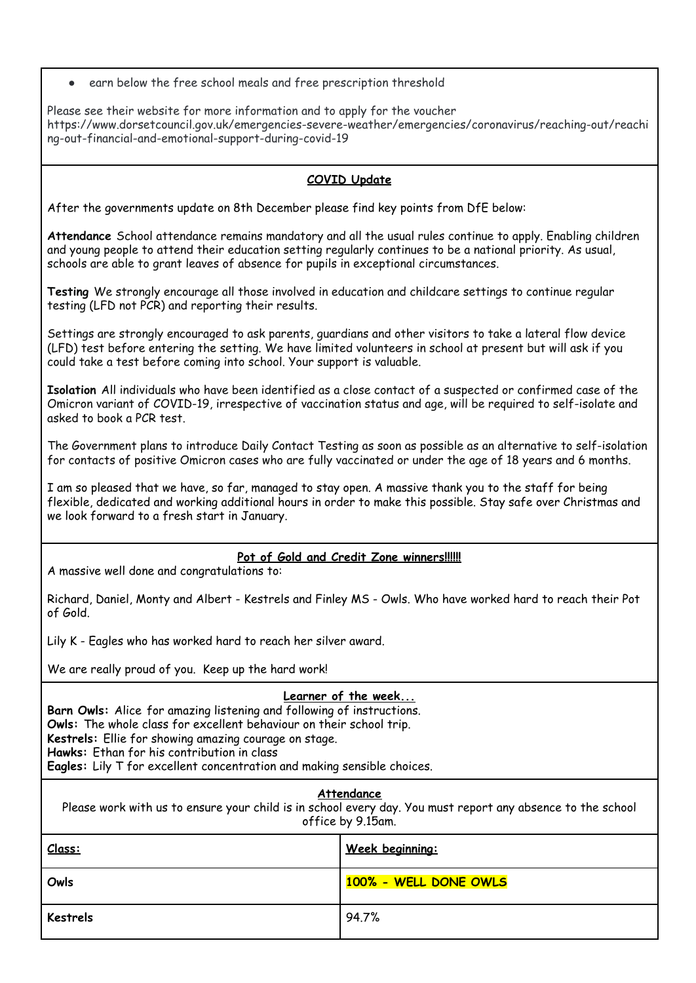earn below the free school meals and free prescription threshold

Please see their website for more information and to apply for the voucher https://www.dorsetcouncil.gov.uk/emergencies-severe-weather/emergencies/coronavirus/reaching-out/reachi ng-out-financial-and-emotional-support-during-covid-19

### **COVID Update**

After the governments update on 8th December please find key points from DfE below:

**Attendance** School attendance remains mandatory and all the usual rules continue to apply. Enabling children and young people to attend their education setting regularly continues to be a national priority. As usual, schools are able to grant leaves of absence for pupils in exceptional circumstances.

**Testing** We strongly encourage all those involved in education and childcare settings to continue regular testing (LFD not PCR) and reporting their results.

Settings are strongly encouraged to ask parents, guardians and other visitors to take a lateral flow device (LFD) test before entering the setting. We have limited volunteers in school at present but will ask if you could take a test before coming into school. Your support is valuable.

**Isolation** All individuals who have been identified as a close contact of a suspected or confirmed case of the Omicron variant of COVID-19, irrespective of vaccination status and age, will be required to self-isolate and asked to book a PCR test.

The Government plans to introduce Daily Contact Testing as soon as possible as an alternative to self-isolation for contacts of positive Omicron cases who are fully vaccinated or under the age of 18 years and 6 months.

I am so pleased that we have, so far, managed to stay open. A massive thank you to the staff for being flexible, dedicated and working additional hours in order to make this possible. Stay safe over Christmas and we look forward to a fresh start in January.

## **Pot of Gold and Credit Zone winners!!!!!!**

A massive well done and congratulations to:

Richard, Daniel, Monty and Albert - Kestrels and Finley MS - Owls. Who have worked hard to reach their Pot of Gold.

Lily K - Eagles who has worked hard to reach her silver award.

We are really proud of you. Keep up the hard work!

### **Learner of the week...**

**Barn Owls:** Alice for amazing listening and following of instructions. **Owls:** The whole class for excellent behaviour on their school trip. **Kestrels:** Ellie for showing amazing courage on stage. **Hawks:** Ethan for his contribution in class **Eagles:** Lily T for excellent concentration and making sensible choices.

**Attendance**

Please work with us to ensure your child is in school every day. You must report any absence to the school office by 9.15am.

| Class:   | Week beginning:       |
|----------|-----------------------|
| Owls     | 100% - WELL DONE OWLS |
| Kestrels | 94.7%                 |